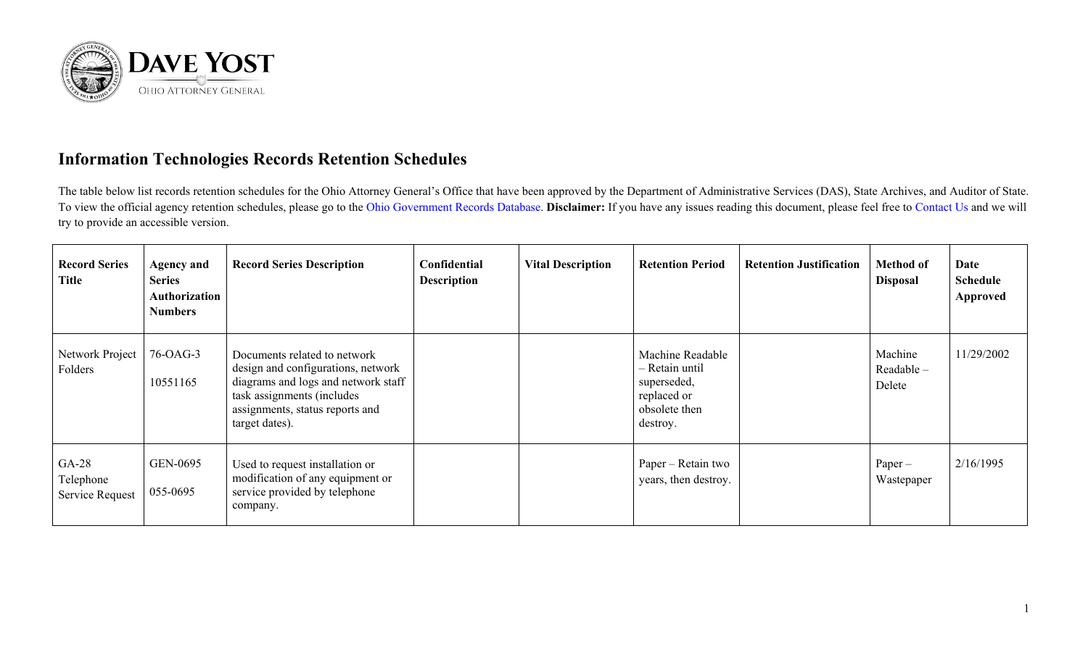

## **Information Technologies Records Retention Schedules**

The table below list records retention schedules for the Ohio Attorney General's Office that have been approved by the Department of Administrative Services (DAS), State Archives, and Auditor of State. To view the official agency retention schedules, please go to the [Ohio Government Records Database.](https://apps.das.ohio.gov/RIMS/GeneralSchedule) **Disclaimer:** If you have any issues reading this document, please feel free to [Contact Us](https://www.ohioattorneygeneral.gov/About-AG/Contact) and we will try to provide an accessible version.

| <b>Record Series</b><br><b>Title</b>    | <b>Agency and</b><br><b>Series</b><br>Authorization<br><b>Numbers</b> | <b>Record Series Description</b>                                                                                                                                                             | Confidential<br><b>Description</b> | <b>Vital Description</b> | <b>Retention Period</b>                                                                       | <b>Retention Justification</b> | <b>Method of</b><br><b>Disposal</b> | Date<br><b>Schedule</b><br>Approved |
|-----------------------------------------|-----------------------------------------------------------------------|----------------------------------------------------------------------------------------------------------------------------------------------------------------------------------------------|------------------------------------|--------------------------|-----------------------------------------------------------------------------------------------|--------------------------------|-------------------------------------|-------------------------------------|
| Network Project<br>Folders              | 76-OAG-3<br>10551165                                                  | Documents related to network<br>design and configurations, network<br>diagrams and logs and network staff<br>task assignments (includes<br>assignments, status reports and<br>target dates). |                                    |                          | Machine Readable<br>– Retain until<br>superseded,<br>replaced or<br>obsolete then<br>destroy. |                                | Machine<br>Readable -<br>Delete     | 11/29/2002                          |
| $GA-28$<br>Telephone<br>Service Request | GEN-0695<br>055-0695                                                  | Used to request installation or<br>modification of any equipment or<br>service provided by telephone<br>company.                                                                             |                                    |                          | Paper – Retain two<br>years, then destroy.                                                    |                                | $Paper -$<br>Wastepaper             | 2/16/1995                           |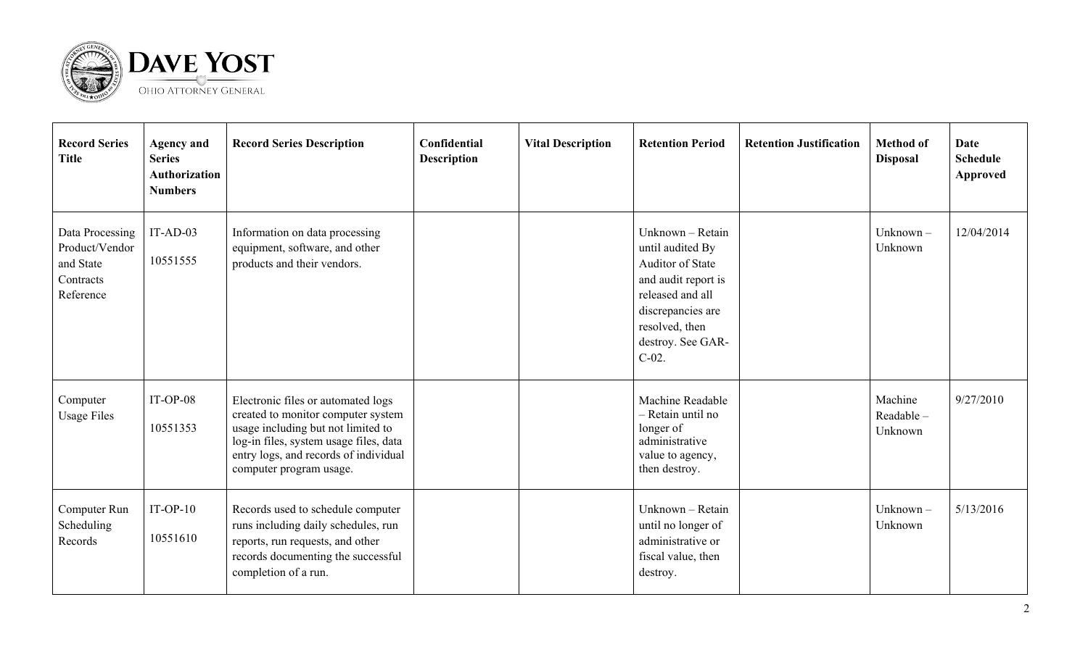

| <b>Record Series</b><br><b>Title</b>                                     | <b>Agency and</b><br><b>Series</b><br><b>Authorization</b><br><b>Numbers</b> | <b>Record Series Description</b>                                                                                                                                                                                             | Confidential<br><b>Description</b> | <b>Vital Description</b> | <b>Retention Period</b>                                                                                                                                                     | <b>Retention Justification</b> | <b>Method of</b><br><b>Disposal</b> | <b>Date</b><br><b>Schedule</b><br>Approved |
|--------------------------------------------------------------------------|------------------------------------------------------------------------------|------------------------------------------------------------------------------------------------------------------------------------------------------------------------------------------------------------------------------|------------------------------------|--------------------------|-----------------------------------------------------------------------------------------------------------------------------------------------------------------------------|--------------------------------|-------------------------------------|--------------------------------------------|
| Data Processing<br>Product/Vendor<br>and State<br>Contracts<br>Reference | $IT-AD-03$<br>10551555                                                       | Information on data processing<br>equipment, software, and other<br>products and their vendors.                                                                                                                              |                                    |                          | Unknown - Retain<br>until audited By<br>Auditor of State<br>and audit report is<br>released and all<br>discrepancies are<br>resolved, then<br>destroy. See GAR-<br>$C-02$ . |                                | Unknown $-$<br>Unknown              | 12/04/2014                                 |
| Computer<br><b>Usage Files</b>                                           | $IT-OP-08$<br>10551353                                                       | Electronic files or automated logs<br>created to monitor computer system<br>usage including but not limited to<br>log-in files, system usage files, data<br>entry logs, and records of individual<br>computer program usage. |                                    |                          | Machine Readable<br>- Retain until no<br>longer of<br>administrative<br>value to agency,<br>then destroy.                                                                   |                                | Machine<br>Readable-<br>Unknown     | 9/27/2010                                  |
| Computer Run<br>Scheduling<br>Records                                    | $IT-OP-10$<br>10551610                                                       | Records used to schedule computer<br>runs including daily schedules, run<br>reports, run requests, and other<br>records documenting the successful<br>completion of a run.                                                   |                                    |                          | Unknown - Retain<br>until no longer of<br>administrative or<br>fiscal value, then<br>destroy.                                                                               |                                | Unknown $-$<br>Unknown              | 5/13/2016                                  |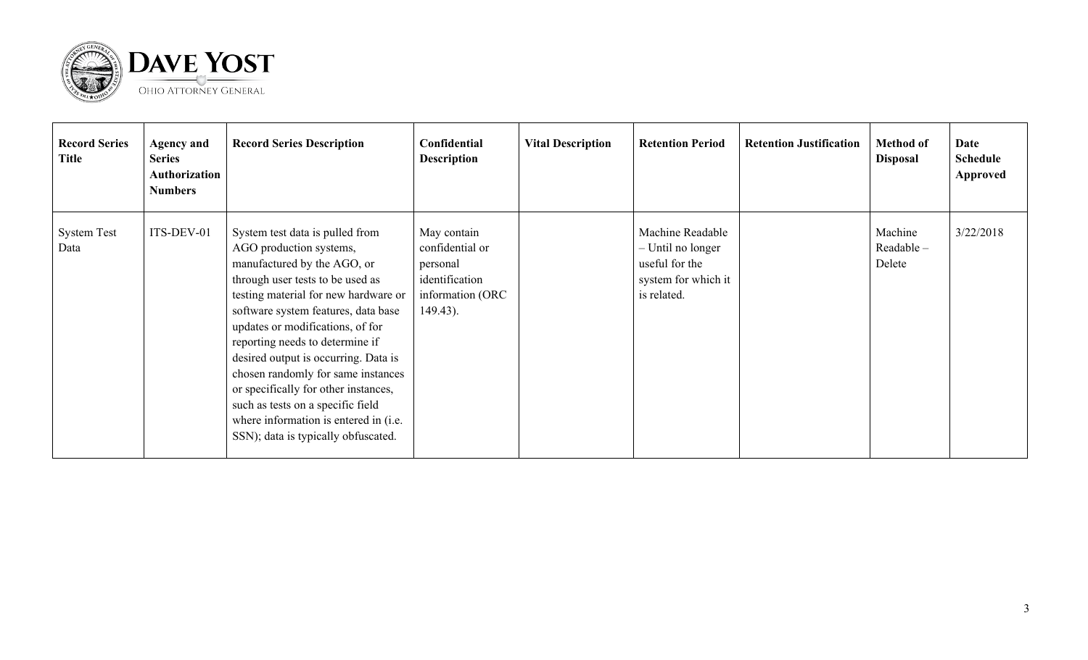

| <b>Record Series</b><br><b>Title</b> | <b>Agency and</b><br><b>Series</b><br>Authorization<br><b>Numbers</b> | <b>Record Series Description</b>                                                                                                                                                                                                                                                                                                                                                                                                                                                                                               | Confidential<br><b>Description</b>                                                              | <b>Vital Description</b> | <b>Retention Period</b>                                                                       | <b>Retention Justification</b> | <b>Method of</b><br><b>Disposal</b> | Date<br><b>Schedule</b><br><b>Approved</b> |
|--------------------------------------|-----------------------------------------------------------------------|--------------------------------------------------------------------------------------------------------------------------------------------------------------------------------------------------------------------------------------------------------------------------------------------------------------------------------------------------------------------------------------------------------------------------------------------------------------------------------------------------------------------------------|-------------------------------------------------------------------------------------------------|--------------------------|-----------------------------------------------------------------------------------------------|--------------------------------|-------------------------------------|--------------------------------------------|
| <b>System Test</b><br>Data           | ITS-DEV-01                                                            | System test data is pulled from<br>AGO production systems,<br>manufactured by the AGO, or<br>through user tests to be used as<br>testing material for new hardware or<br>software system features, data base<br>updates or modifications, of for<br>reporting needs to determine if<br>desired output is occurring. Data is<br>chosen randomly for same instances<br>or specifically for other instances,<br>such as tests on a specific field<br>where information is entered in (i.e.<br>SSN); data is typically obfuscated. | May contain<br>confidential or<br>personal<br>identification<br>information (ORC<br>$149.43$ ). |                          | Machine Readable<br>- Until no longer<br>useful for the<br>system for which it<br>is related. |                                | Machine<br>Readable-<br>Delete      | 3/22/2018                                  |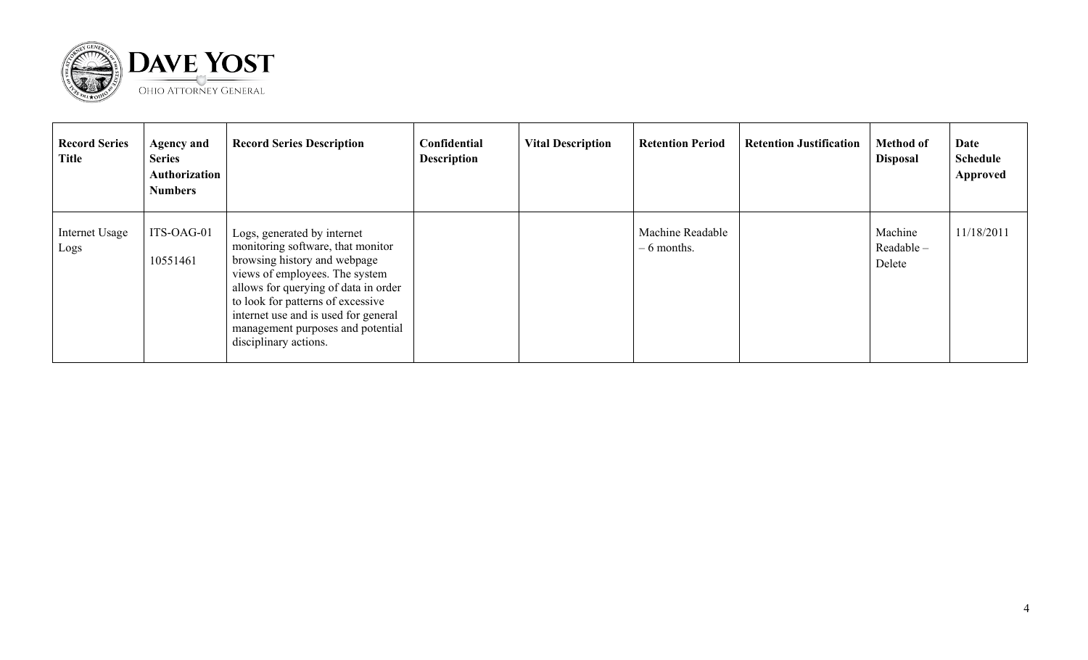

| <b>Record Series</b><br><b>Title</b> | <b>Agency and</b><br><b>Series</b><br>Authorization<br><b>Numbers</b> | <b>Record Series Description</b>                                                                                                                                                                                                                                                                                      | Confidential<br><b>Description</b> | <b>Vital Description</b> | <b>Retention Period</b>          | <b>Retention Justification</b> | <b>Method of</b><br><b>Disposal</b> | Date<br><b>Schedule</b><br>Approved |
|--------------------------------------|-----------------------------------------------------------------------|-----------------------------------------------------------------------------------------------------------------------------------------------------------------------------------------------------------------------------------------------------------------------------------------------------------------------|------------------------------------|--------------------------|----------------------------------|--------------------------------|-------------------------------------|-------------------------------------|
| Internet Usage<br>Logs               | ITS-OAG-01<br>10551461                                                | Logs, generated by internet<br>monitoring software, that monitor<br>browsing history and webpage<br>views of employees. The system<br>allows for querying of data in order<br>to look for patterns of excessive<br>internet use and is used for general<br>management purposes and potential<br>disciplinary actions. |                                    |                          | Machine Readable<br>$-6$ months. |                                | Machine<br>Readable -<br>Delete     | 11/18/2011                          |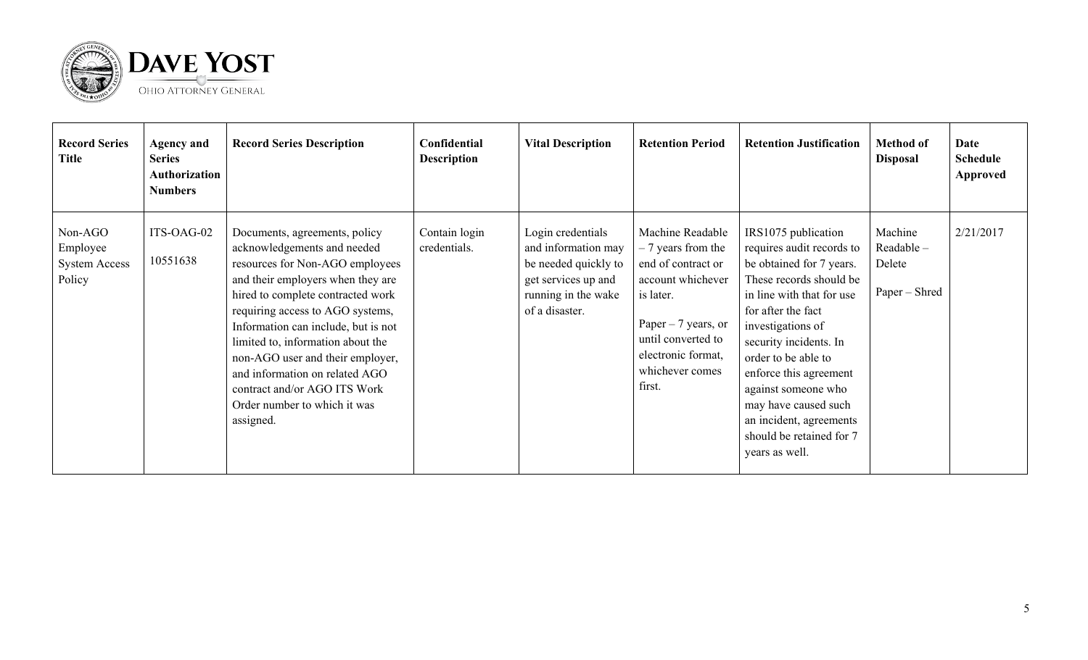

| <b>Record Series</b><br><b>Title</b>                  | <b>Agency and</b><br><b>Series</b><br>Authorization<br><b>Numbers</b> | <b>Record Series Description</b>                                                                                                                                                                                                                                                                                                                                                                                                             | Confidential<br><b>Description</b> | <b>Vital Description</b>                                                                                                         | <b>Retention Period</b>                                                                                                                                                                          | <b>Retention Justification</b>                                                                                                                                                                                                                                                                                                                                                     | <b>Method of</b><br><b>Disposal</b>             | Date<br><b>Schedule</b><br><b>Approved</b> |
|-------------------------------------------------------|-----------------------------------------------------------------------|----------------------------------------------------------------------------------------------------------------------------------------------------------------------------------------------------------------------------------------------------------------------------------------------------------------------------------------------------------------------------------------------------------------------------------------------|------------------------------------|----------------------------------------------------------------------------------------------------------------------------------|--------------------------------------------------------------------------------------------------------------------------------------------------------------------------------------------------|------------------------------------------------------------------------------------------------------------------------------------------------------------------------------------------------------------------------------------------------------------------------------------------------------------------------------------------------------------------------------------|-------------------------------------------------|--------------------------------------------|
| Non-AGO<br>Employee<br><b>System Access</b><br>Policy | ITS-OAG-02<br>10551638                                                | Documents, agreements, policy<br>acknowledgements and needed<br>resources for Non-AGO employees<br>and their employers when they are<br>hired to complete contracted work<br>requiring access to AGO systems,<br>Information can include, but is not<br>limited to, information about the<br>non-AGO user and their employer,<br>and information on related AGO<br>contract and/or AGO ITS Work<br>Order number to which it was<br>assigned. | Contain login<br>credentials.      | Login credentials<br>and information may<br>be needed quickly to<br>get services up and<br>running in the wake<br>of a disaster. | Machine Readable<br>$-7$ years from the<br>end of contract or<br>account whichever<br>is later.<br>Paper $-7$ years, or<br>until converted to<br>electronic format,<br>whichever comes<br>first. | IRS1075 publication<br>requires audit records to<br>be obtained for 7 years.<br>These records should be<br>in line with that for use<br>for after the fact<br>investigations of<br>security incidents. In<br>order to be able to<br>enforce this agreement<br>against someone who<br>may have caused such<br>an incident, agreements<br>should be retained for 7<br>years as well. | Machine<br>Readable-<br>Delete<br>Paper – Shred | 2/21/2017                                  |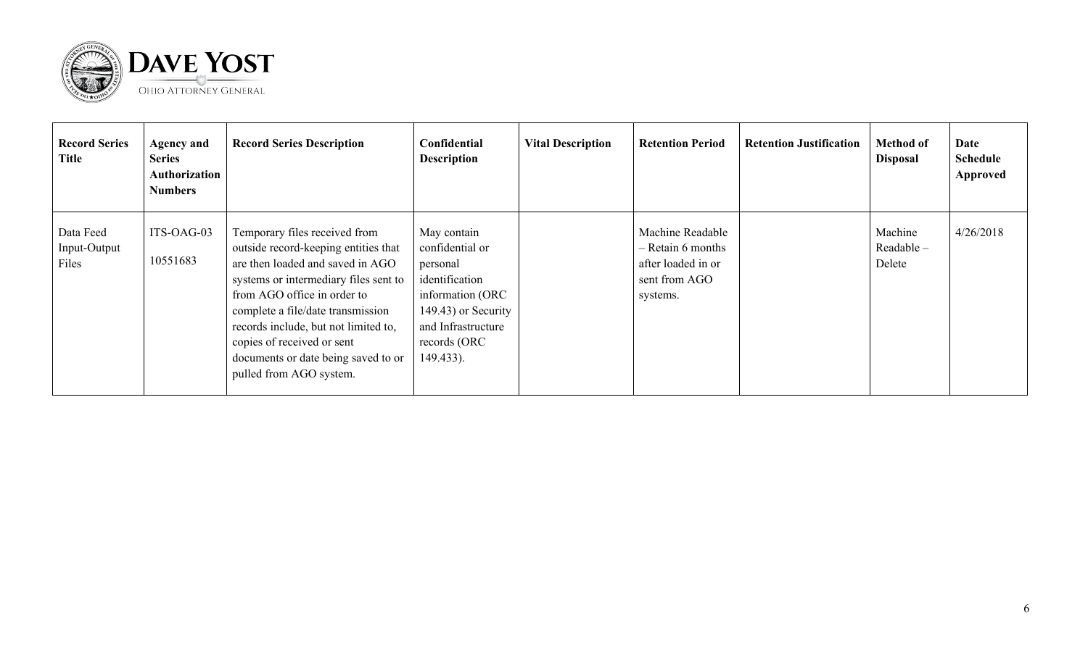

| <b>Record Series</b><br><b>Title</b> | <b>Agency and</b><br><b>Series</b><br>Authorization<br><b>Numbers</b> | <b>Record Series Description</b>                                                                                                                                                                                                                                                                                                                               | Confidential<br><b>Description</b>                                                                                                                         | <b>Vital Description</b> | <b>Retention Period</b>                                                                    | <b>Retention Justification</b> | <b>Method of</b><br><b>Disposal</b> | Date<br>Schedule<br>Approved |
|--------------------------------------|-----------------------------------------------------------------------|----------------------------------------------------------------------------------------------------------------------------------------------------------------------------------------------------------------------------------------------------------------------------------------------------------------------------------------------------------------|------------------------------------------------------------------------------------------------------------------------------------------------------------|--------------------------|--------------------------------------------------------------------------------------------|--------------------------------|-------------------------------------|------------------------------|
| Data Feed<br>Input-Output<br>Files   | ITS-OAG-03<br>10551683                                                | Temporary files received from<br>outside record-keeping entities that<br>are then loaded and saved in AGO<br>systems or intermediary files sent to<br>from AGO office in order to<br>complete a file/date transmission<br>records include, but not limited to,<br>copies of received or sent<br>documents or date being saved to or<br>pulled from AGO system. | May contain<br>confidential or<br>personal<br>identification<br>information (ORC<br>149.43) or Security<br>and Infrastructure<br>records (ORC<br>149.433). |                          | Machine Readable<br>$-$ Retain 6 months<br>after loaded in or<br>sent from AGO<br>systems. |                                | Machine<br>$Readable -$<br>Delete   | 4/26/2018                    |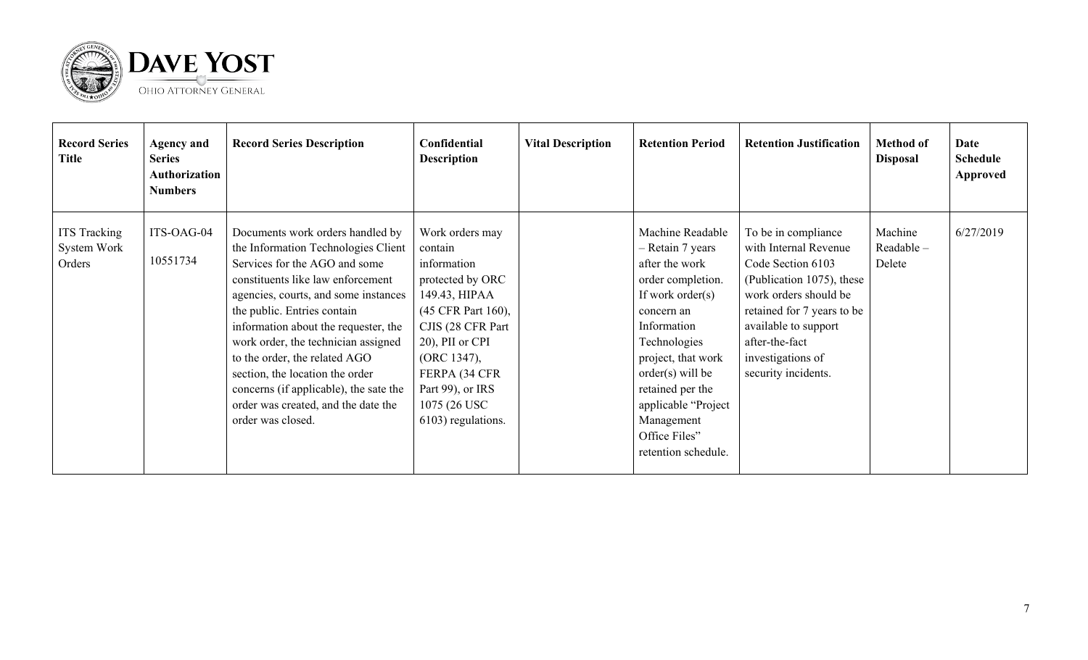

| <b>Record Series</b><br>Title                | <b>Agency and</b><br><b>Series</b><br>Authorization<br><b>Numbers</b> | <b>Record Series Description</b>                                                                                                                                                                                                                                                                                                                                                                                                                                              | Confidential<br><b>Description</b>                                                                                                                                                                                                      | <b>Vital Description</b> | <b>Retention Period</b>                                                                                                                                                                                                                                                                      | <b>Retention Justification</b>                                                                                                                                                                                                              | <b>Method of</b><br><b>Disposal</b> | Date<br><b>Schedule</b><br>Approved |
|----------------------------------------------|-----------------------------------------------------------------------|-------------------------------------------------------------------------------------------------------------------------------------------------------------------------------------------------------------------------------------------------------------------------------------------------------------------------------------------------------------------------------------------------------------------------------------------------------------------------------|-----------------------------------------------------------------------------------------------------------------------------------------------------------------------------------------------------------------------------------------|--------------------------|----------------------------------------------------------------------------------------------------------------------------------------------------------------------------------------------------------------------------------------------------------------------------------------------|---------------------------------------------------------------------------------------------------------------------------------------------------------------------------------------------------------------------------------------------|-------------------------------------|-------------------------------------|
| <b>ITS Tracking</b><br>System Work<br>Orders | ITS-OAG-04<br>10551734                                                | Documents work orders handled by<br>the Information Technologies Client<br>Services for the AGO and some<br>constituents like law enforcement<br>agencies, courts, and some instances<br>the public. Entries contain<br>information about the requester, the<br>work order, the technician assigned<br>to the order, the related AGO<br>section, the location the order<br>concerns (if applicable), the sate the<br>order was created, and the date the<br>order was closed. | Work orders may<br>contain<br>information<br>protected by ORC<br>149.43, HIPAA<br>(45 CFR Part 160),<br>CJIS (28 CFR Part<br>20), PII or CPI<br>(ORC 1347),<br>FERPA (34 CFR<br>Part 99), or IRS<br>1075 (26 USC)<br>6103) regulations. |                          | Machine Readable<br>- Retain 7 years<br>after the work<br>order completion.<br>If work order $(s)$<br>concern an<br>Information<br>Technologies<br>project, that work<br>$order(s)$ will be<br>retained per the<br>applicable "Project<br>Management<br>Office Files"<br>retention schedule. | To be in compliance<br>with Internal Revenue<br>Code Section 6103<br>(Publication 1075), these<br>work orders should be<br>retained for 7 years to be<br>available to support<br>after-the-fact<br>investigations of<br>security incidents. | Machine<br>Readable-<br>Delete      | 6/27/2019                           |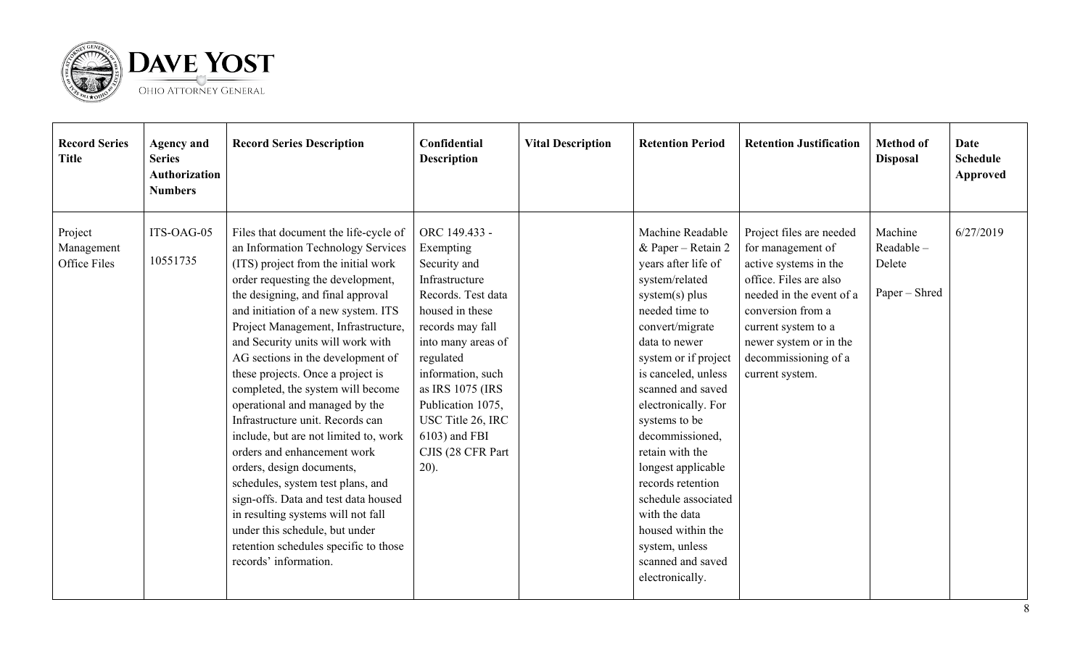

| <b>Record Series</b><br><b>Title</b>  | <b>Agency and</b><br><b>Series</b><br><b>Authorization</b><br><b>Numbers</b> | <b>Record Series Description</b>                                                                                                                                                                                                                                                                                                                                                                                                                                                                                                                                                                                                                                                                                                                                                                                                 | Confidential<br><b>Description</b>                                                                                                                                                                                                                                                               | <b>Vital Description</b> | <b>Retention Period</b>                                                                                                                                                                                                                                                                                                                                                                                                                                                     | <b>Retention Justification</b>                                                                                                                                                                                                                | <b>Method</b> of<br><b>Disposal</b>             | Date<br><b>Schedule</b><br><b>Approved</b> |
|---------------------------------------|------------------------------------------------------------------------------|----------------------------------------------------------------------------------------------------------------------------------------------------------------------------------------------------------------------------------------------------------------------------------------------------------------------------------------------------------------------------------------------------------------------------------------------------------------------------------------------------------------------------------------------------------------------------------------------------------------------------------------------------------------------------------------------------------------------------------------------------------------------------------------------------------------------------------|--------------------------------------------------------------------------------------------------------------------------------------------------------------------------------------------------------------------------------------------------------------------------------------------------|--------------------------|-----------------------------------------------------------------------------------------------------------------------------------------------------------------------------------------------------------------------------------------------------------------------------------------------------------------------------------------------------------------------------------------------------------------------------------------------------------------------------|-----------------------------------------------------------------------------------------------------------------------------------------------------------------------------------------------------------------------------------------------|-------------------------------------------------|--------------------------------------------|
| Project<br>Management<br>Office Files | ITS-OAG-05<br>10551735                                                       | Files that document the life-cycle of<br>an Information Technology Services<br>(ITS) project from the initial work<br>order requesting the development,<br>the designing, and final approval<br>and initiation of a new system. ITS<br>Project Management, Infrastructure,<br>and Security units will work with<br>AG sections in the development of<br>these projects. Once a project is<br>completed, the system will become<br>operational and managed by the<br>Infrastructure unit. Records can<br>include, but are not limited to, work<br>orders and enhancement work<br>orders, design documents,<br>schedules, system test plans, and<br>sign-offs. Data and test data housed<br>in resulting systems will not fall<br>under this schedule, but under<br>retention schedules specific to those<br>records' information. | ORC 149.433 -<br>Exempting<br>Security and<br>Infrastructure<br>Records. Test data<br>housed in these<br>records may fall<br>into many areas of<br>regulated<br>information, such<br>as IRS 1075 (IRS<br>Publication 1075,<br>USC Title 26, IRC<br>6103) and FBI<br>CJIS (28 CFR Part<br>$20$ ). |                          | Machine Readable<br>& Paper - Retain 2<br>years after life of<br>system/related<br>system(s) plus<br>needed time to<br>convert/migrate<br>data to newer<br>system or if project<br>is canceled, unless<br>scanned and saved<br>electronically. For<br>systems to be<br>decommissioned,<br>retain with the<br>longest applicable<br>records retention<br>schedule associated<br>with the data<br>housed within the<br>system, unless<br>scanned and saved<br>electronically. | Project files are needed<br>for management of<br>active systems in the<br>office. Files are also<br>needed in the event of a<br>conversion from a<br>current system to a<br>newer system or in the<br>decommissioning of a<br>current system. | Machine<br>Readable-<br>Delete<br>Paper - Shred | 6/27/2019                                  |